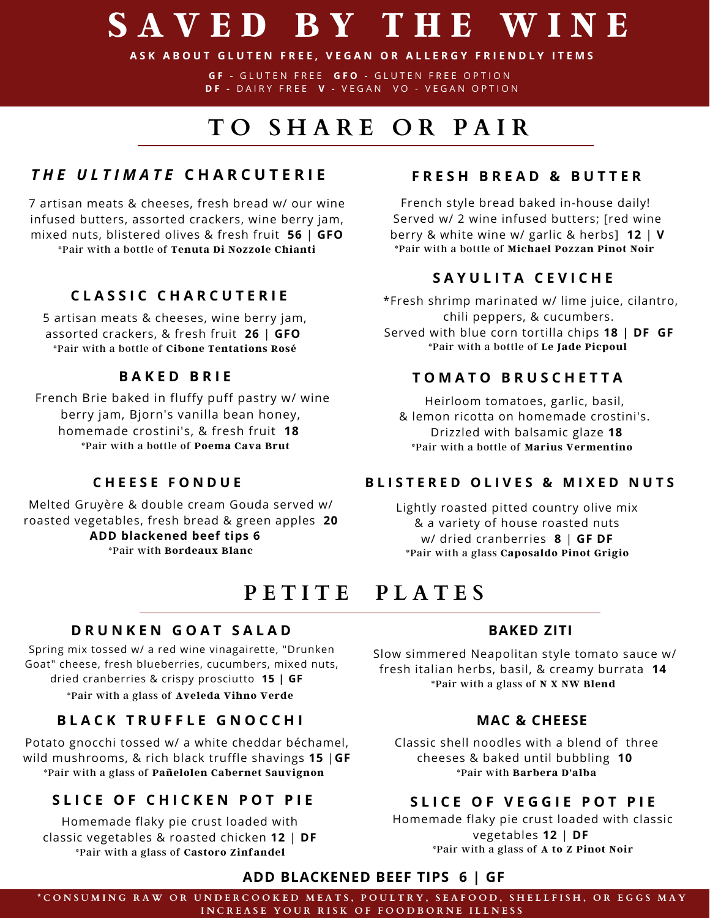# **S A V E D B Y T H E W I N E**

ASK ABOUT GLUTEN FREE, VEGAN OR ALLERGY FRIENDLY ITEMS

**G F -** G L U T E N F R E E **G F O -** G L U T E N F R E E O P T IO N **D F -** D A I R Y F R E E **V -** V E G A N V O - V E G A N O P T IO N

## **T O S H A R E O R P A I R**

### *T H E U L T I M A T E* **C H A R C U T E R I E**

7 artisan meats & cheeses, fresh bread w/ our wine infused butters, assorted crackers, wine berry jam, mixed nuts, blistered olives & fresh fruit **56** | **GFO** \*Pair with a bottle of **Tenuta Di Nozzole Chianti**

#### **C L A S S I C C H A R C U T E R I E**

5 artisan meats & cheeses, wine berry jam, assorted crackers, & fresh fruit **26** | **GFO** \*Pair with a bottle of **Cibone Tentations Rosé**

### **B A K E D B R I E**

French Brie baked in fluffy puff pastry w/ wine berry jam, Bjorn's vanilla bean honey, homemade crostini's, & fresh fruit **18** \*Pair with a bottle of **Poema Cava Brut**

#### **C H E E S E F O N D U E**

Melted Gruyère & double cream Gouda served w/ roasted vegetables, fresh bread & green apples **20 ADD blackened beef tips 6** \*Pair with **Bordeaux Blanc**

#### **F R E S H B R E A D & B U T T E R**

French style bread baked in-house daily! Served w/ 2 wine infused butters; [red wine berry & white wine w/ garlic & herbs] **12** | **V** \*Pair with a bottle of **Michael Pozzan Pinot Noir**

#### **S A Y U L I T A C E V I C H E**

\*Fresh shrimp marinated w/ lime juice, cilantro, chili peppers, & cucumbers. Served with blue corn tortilla chips **18 | DF GF \***Pair with a bottle of **Le Jade Picpoul**

#### **T O M A T O B R U S C H E T T A**

Heirloom tomatoes, garlic, basil, & lemon ricotta on homemade crostini's. Drizzled with balsamic glaze **18 \***Pair with a bottle of **Marius Vermentino**

#### **B L I S T E R E D O L I V E S & M I X E D N U T S**

Lightly roasted pitted country olive mix & a variety of house roasted nuts w/ dried cranberries **8** | **GF DF** \*Pair with a glass **Caposaldo Pinot Grigio**

### **P E T I T E P L A T E S**

#### **D R U N K E N G O A T S A L A D**

Spring mix tossed w/ a red wine vinagairette, "Drunken Goat" cheese, fresh blueberries, cucumbers, mixed nuts, dried cranberries & crispy prosciutto **15 | GF** \*Pair with a glass of **Aveleda Vihno Verde**

#### **B L A C K T R U F F L E G N O C C H I**

Potato gnocchi tossed w/ a white cheddar béchamel, wild mushrooms, & rich black truffle shavings **15** |**GF** \*Pair with a glass of **Pañelolen Cabernet Sauvignon**

### SLICE OF CHICKEN POT PIE SLICE OF VEGGIE POT PIE

Homemade flaky pie crust loaded with classic vegetables & roasted chicken **12** | **DF** \*Pair with a glass of **Castoro Zinfandel**

#### **BAKED ZITI**

Slow simmered Neapolitan style tomato sauce w/ fresh italian herbs, basil, & creamy burrata **14** \*Pair with a glass of **N X NW Blend**

#### **MAC & CHEESE**

Classic shell noodles with a blend of three cheeses & baked until bubbling **10** \*Pair with **Barbera D'alba**

Homemade flaky pie crust loaded with classic vegetables **12** | **DF** \*Pair with a glass of **A to Z Pinot Noir**

#### **ADD BLACKENED BEEF TIPS 6 | GF**

\*CONSUMING RAW OR UNDERCOOKED MEATS, POULTRY, SEAFOOD, SHELLFISH, OR EGGS MAY INCREASE YOUR RISK OF FOODBORNE ILLNESS